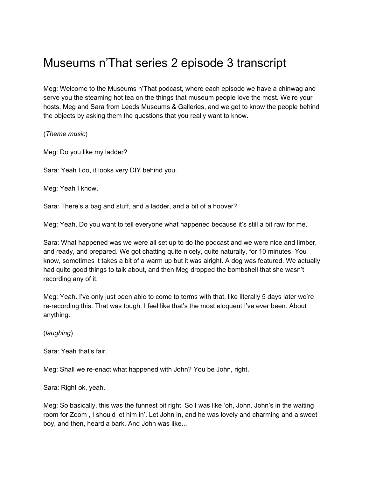## Museums n'That series 2 episode 3 transcript

Meg: Welcome to the Museums n'That podcast, where each episode we have a chinwag and serve you the steaming hot tea on the things that museum people love the most. We're your hosts, Meg and Sara from Leeds Museums & Galleries, and we get to know the people behind the objects by asking them the questions that you really want to know.

(*Theme music*)

Meg: Do you like my ladder?

Sara: Yeah I do, it looks very DIY behind you.

Meg: Yeah I know.

Sara: There's a bag and stuff, and a ladder, and a bit of a hoover?

Meg: Yeah. Do you want to tell everyone what happened because it's still a bit raw for me.

Sara: What happened was we were all set up to do the podcast and we were nice and limber, and ready, and prepared. We got chatting quite nicely, quite naturally, for 10 minutes. You know, sometimes it takes a bit of a warm up but it was alright. A dog was featured. We actually had quite good things to talk about, and then Meg dropped the bombshell that she wasn't recording any of it.

Meg: Yeah. I've only just been able to come to terms with that, like literally 5 days later we're re-recording this. That was tough. I feel like that's the most eloquent I've ever been. About anything.

(*laughing*)

Sara: Yeah that's fair.

Meg: Shall we re-enact what happened with John? You be John, right.

Sara: Right ok, yeah.

Meg: So basically, this was the funnest bit right. So I was like 'oh, John. John's in the waiting room for Zoom , I should let him in'. Let John in, and he was lovely and charming and a sweet boy, and then, heard a bark. And John was like…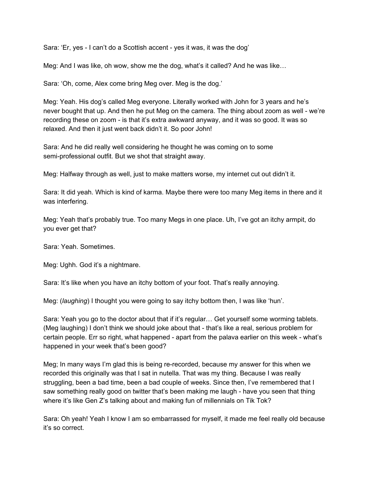Sara: 'Er, yes - I can't do a Scottish accent - yes it was, it was the dog'

Meg: And I was like, oh wow, show me the dog, what's it called? And he was like…

Sara: 'Oh, come, Alex come bring Meg over. Meg is the dog.'

Meg: Yeah. His dog's called Meg everyone. Literally worked with John for 3 years and he's never bought that up. And then he put Meg on the camera. The thing about zoom as well - we're recording these on zoom - is that it's extra awkward anyway, and it was so good. It was so relaxed. And then it just went back didn't it. So poor John!

Sara: And he did really well considering he thought he was coming on to some semi-professional outfit. But we shot that straight away.

Meg: Halfway through as well, just to make matters worse, my internet cut out didn't it.

Sara: It did yeah. Which is kind of karma. Maybe there were too many Meg items in there and it was interfering.

Meg: Yeah that's probably true. Too many Megs in one place. Uh, I've got an itchy armpit, do you ever get that?

Sara: Yeah. Sometimes.

Meg: Ughh. God it's a nightmare.

Sara: It's like when you have an itchy bottom of your foot. That's really annoying.

Meg: (*laughing*) I thought you were going to say itchy bottom then, I was like 'hun'.

Sara: Yeah you go to the doctor about that if it's regular… Get yourself some worming tablets. (Meg laughing) I don't think we should joke about that - that's like a real, serious problem for certain people. Err so right, what happened - apart from the palava earlier on this week - what's happened in your week that's been good?

Meg; In many ways I'm glad this is being re-recorded, because my answer for this when we recorded this originally was that I sat in nutella. That was my thing. Because I was really struggling, been a bad time, been a bad couple of weeks. Since then, I've remembered that I saw something really good on twitter that's been making me laugh - have you seen that thing where it's like Gen Z's talking about and making fun of millennials on Tik Tok?

Sara: Oh yeah! Yeah I know I am so embarrassed for myself, it made me feel really old because it's so correct.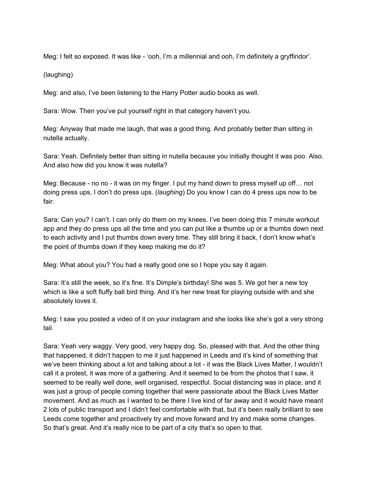Meg: I felt so exposed. It was like - 'ooh, I'm a millennial and ooh, I'm definitely a gryffindor'.

(laughing)

Meg: and also, I've been listening to the Harry Potter audio books as well.

Sara: Wow. Then you've put yourself right in that category haven't you.

Meg: Anyway that made me laugh, that was a good thing. And probably better than sitting in nutella actually.

Sara: Yeah. Definitely better than sitting in nutella because you initially thought it was poo. Also. And also how did you know it was nutella?

Meg: Because - no no - it was on my finger. I put my hand down to press myself up off… not doing press ups, I don't do press ups. (*laughing*) Do you know I can do 4 press ups now to be fair.

Sara: Can you? I can't. I can only do them on my knees. I've been doing this 7 minute workout app and they do press ups all the time and you can put like a thumbs up or a thumbs down next to each activity and I put thumbs down every time. They still bring it back, I don't know what's the point of thumbs down if they keep making me do it?

Meg: What about you? You had a really good one so I hope you say it again.

Sara: It's still the week, so it's fine. It's Dimple's birthday! She was 5. We got her a new toy which is like a soft fluffy ball bird thing. And it's her new treat for playing outside with and she absolutely loves it.

Meg: I saw you posted a video of it on your instagram and she looks like she's got a very strong tail.

Sara: Yeah very waggy. Very good, very happy dog. So, pleased with that. And the other thing that happened, it didn't happen to me it just happened in Leeds and it's kind of something that we've been thinking about a lot and talking about a lot - it was the Black Lives Matter, I wouldn't call it a protest, it was more of a gathering. And it seemed to be from the photos that I saw, it seemed to be really well done, well organised, respectful. Social distancing was in place, and it was just a group of people coming together that were passionate about the Black Lives Matter movement. And as much as I wanted to be there I live kind of far away and it would have meant 2 lots of public transport and I didn't feel comfortable with that, but it's been really brilliant to see Leeds come together and proactively try and move forward and try and make some changes. So that's great. And it's really nice to be part of a city that's so open to that.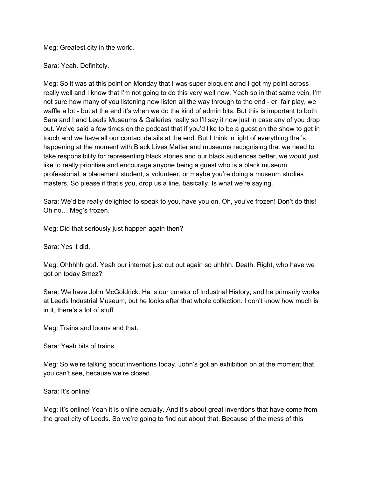Meg: Greatest city in the world.

Sara: Yeah. Definitely.

Meg: So it was at this point on Monday that I was super eloquent and I got my point across really well and I know that I'm not going to do this very well now. Yeah so in that same vein, I'm not sure how many of you listening now listen all the way through to the end - er, fair play, we waffle a lot - but at the end it's when we do the kind of admin bits. But this is important to both Sara and I and Leeds Museums & Galleries really so I'll say it now just in case any of you drop out. We've said a few times on the podcast that if you'd like to be a guest on the show to get in touch and we have all our contact details at the end. But I think in light of everything that's happening at the moment with Black Lives Matter and museums recognising that we need to take responsibility for representing black stories and our black audiences better, we would just like to really prioritise and encourage anyone being a guest who is a black museum professional, a placement student, a volunteer, or maybe you're doing a museum studies masters. So please if that's you, drop us a line, basically. Is what we're saying.

Sara: We'd be really delighted to speak to you, have you on. Oh, you've frozen! Don't do this! Oh no… Meg's frozen.

Meg: Did that seriously just happen again then?

Sara: Yes it did.

Meg: Ohhhhh god. Yeah our internet just cut out again so uhhhh. Death. Right, who have we got on today Smez?

Sara: We have John McGoldrick. He is our curator of Industrial History, and he primarily works at Leeds Industrial Museum, but he looks after that whole collection. I don't know how much is in it, there's a lot of stuff.

Meg: Trains and looms and that.

Sara: Yeah bits of trains.

Meg: So we're talking about inventions today. John's got an exhibition on at the moment that you can't see, because we're closed.

Sara: It's online!

Meg: It's online! Yeah it is online actually. And it's about great inventions that have come from the great city of Leeds. So we're going to find out about that. Because of the mess of this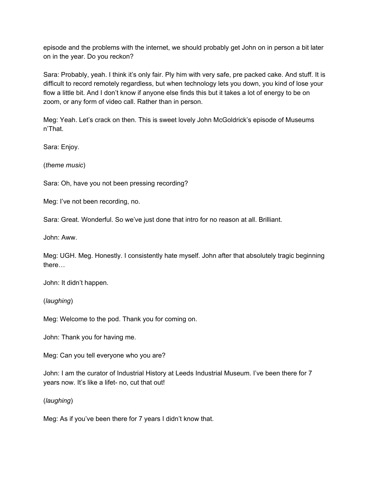episode and the problems with the internet, we should probably get John on in person a bit later on in the year. Do you reckon?

Sara: Probably, yeah. I think it's only fair. Ply him with very safe, pre packed cake. And stuff. It is difficult to record remotely regardless, but when technology lets you down, you kind of lose your flow a little bit. And I don't know if anyone else finds this but it takes a lot of energy to be on zoom, or any form of video call. Rather than in person.

Meg: Yeah. Let's crack on then. This is sweet lovely John McGoldrick's episode of Museums n'That.

Sara: Enjoy.

(*theme music*)

Sara: Oh, have you not been pressing recording?

Meg: I've not been recording, no.

Sara: Great. Wonderful. So we've just done that intro for no reason at all. Brilliant.

John: Aww.

Meg: UGH. Meg. Honestly. I consistently hate myself. John after that absolutely tragic beginning there…

John: It didn't happen.

(*laughing*)

Meg: Welcome to the pod. Thank you for coming on.

John: Thank you for having me.

Meg: Can you tell everyone who you are?

John: I am the curator of Industrial History at Leeds Industrial Museum. I've been there for 7 years now. It's like a lifet- no, cut that out!

(*laughing*)

Meg: As if you've been there for 7 years I didn't know that.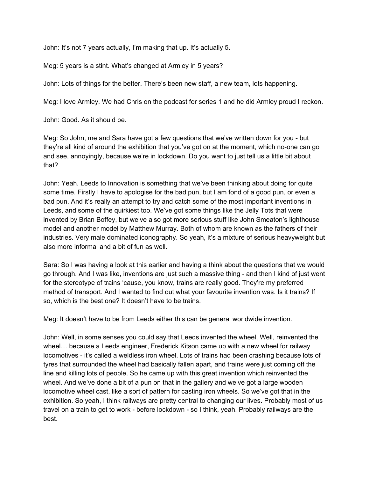John: It's not 7 years actually, I'm making that up. It's actually 5.

Meg: 5 years is a stint. What's changed at Armley in 5 years?

John: Lots of things for the better. There's been new staff, a new team, lots happening.

Meg: I love Armley. We had Chris on the podcast for series 1 and he did Armley proud I reckon.

John: Good. As it should be.

Meg: So John, me and Sara have got a few questions that we've written down for you - but they're all kind of around the exhibition that you've got on at the moment, which no-one can go and see, annoyingly, because we're in lockdown. Do you want to just tell us a little bit about that?

John: Yeah. Leeds to Innovation is something that we've been thinking about doing for quite some time. Firstly I have to apologise for the bad pun, but I am fond of a good pun, or even a bad pun. And it's really an attempt to try and catch some of the most important inventions in Leeds, and some of the quirkiest too. We've got some things like the Jelly Tots that were invented by Brian Boffey, but we've also got more serious stuff like John Smeaton's lighthouse model and another model by Matthew Murray. Both of whom are known as the fathers of their industries. Very male dominated iconography. So yeah, it's a mixture of serious heavyweight but also more informal and a bit of fun as well.

Sara: So I was having a look at this earlier and having a think about the questions that we would go through. And I was like, inventions are just such a massive thing - and then I kind of just went for the stereotype of trains 'cause, you know, trains are really good. They're my preferred method of transport. And I wanted to find out what your favourite invention was. Is it trains? If so, which is the best one? It doesn't have to be trains.

Meg: It doesn't have to be from Leeds either this can be general worldwide invention.

John: Well, in some senses you could say that Leeds invented the wheel. Well, reinvented the wheel… because a Leeds engineer, Frederick Kitson came up with a new wheel for railway locomotives - it's called a weldless iron wheel. Lots of trains had been crashing because lots of tyres that surrounded the wheel had basically fallen apart, and trains were just coming off the line and killing lots of people. So he came up with this great invention which reinvented the wheel. And we've done a bit of a pun on that in the gallery and we've got a large wooden locomotive wheel cast, like a sort of pattern for casting iron wheels. So we've got that in the exhibition. So yeah, I think railways are pretty central to changing our lives. Probably most of us travel on a train to get to work - before lockdown - so I think, yeah. Probably railways are the best.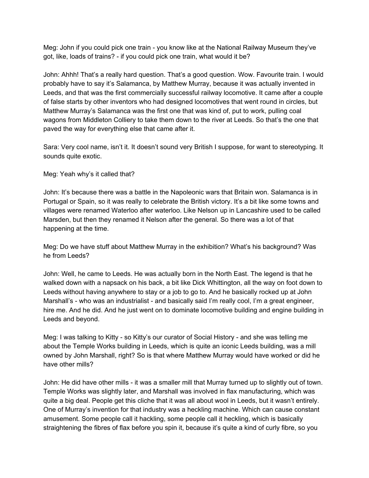Meg: John if you could pick one train - you know like at the National Railway Museum they've got, like, loads of trains? - if you could pick one train, what would it be?

John: Ahhh! That's a really hard question. That's a good question. Wow. Favourite train. I would probably have to say it's Salamanca, by Matthew Murray, because it was actually invented in Leeds, and that was the first commercially successful railway locomotive. It came after a couple of false starts by other inventors who had designed locomotives that went round in circles, but Matthew Murray's Salamanca was the first one that was kind of, put to work, pulling coal wagons from Middleton Colliery to take them down to the river at Leeds. So that's the one that paved the way for everything else that came after it.

Sara: Very cool name, isn't it. It doesn't sound very British I suppose, for want to stereotyping. It sounds quite exotic.

Meg: Yeah why's it called that?

John: It's because there was a battle in the Napoleonic wars that Britain won. Salamanca is in Portugal or Spain, so it was really to celebrate the British victory. It's a bit like some towns and villages were renamed Waterloo after waterloo. Like Nelson up in Lancashire used to be called Marsden, but then they renamed it Nelson after the general. So there was a lot of that happening at the time.

Meg: Do we have stuff about Matthew Murray in the exhibition? What's his background? Was he from Leeds?

John: Well, he came to Leeds. He was actually born in the North East. The legend is that he walked down with a napsack on his back, a bit like Dick Whittington, all the way on foot down to Leeds without having anywhere to stay or a job to go to. And he basically rocked up at John Marshall's - who was an industrialist - and basically said I'm really cool, I'm a great engineer, hire me. And he did. And he just went on to dominate locomotive building and engine building in Leeds and beyond.

Meg: I was talking to Kitty - so Kitty's our curator of Social History - and she was telling me about the Temple Works building in Leeds, which is quite an iconic Leeds building, was a mill owned by John Marshall, right? So is that where Matthew Murray would have worked or did he have other mills?

John: He did have other mills - it was a smaller mill that Murray turned up to slightly out of town. Temple Works was slightly later, and Marshall was involved in flax manufacturing, which was quite a big deal. People get this cliche that it was all about wool in Leeds, but it wasn't entirely. One of Murray's invention for that industry was a heckling machine. Which can cause constant amusement. Some people call it hackling, some people call it heckling, which is basically straightening the fibres of flax before you spin it, because it's quite a kind of curly fibre, so you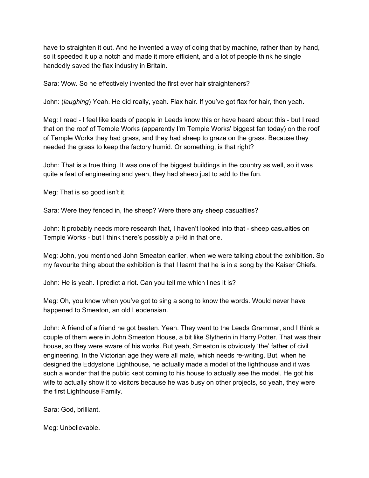have to straighten it out. And he invented a way of doing that by machine, rather than by hand, so it speeded it up a notch and made it more efficient, and a lot of people think he single handedly saved the flax industry in Britain.

Sara: Wow. So he effectively invented the first ever hair straighteners?

John: (*laughing*) Yeah. He did really, yeah. Flax hair. If you've got flax for hair, then yeah.

Meg: I read - I feel like loads of people in Leeds know this or have heard about this - but I read that on the roof of Temple Works (apparently I'm Temple Works' biggest fan today) on the roof of Temple Works they had grass, and they had sheep to graze on the grass. Because they needed the grass to keep the factory humid. Or something, is that right?

John: That is a true thing. It was one of the biggest buildings in the country as well, so it was quite a feat of engineering and yeah, they had sheep just to add to the fun.

Meg: That is so good isn't it.

Sara: Were they fenced in, the sheep? Were there any sheep casualties?

John: It probably needs more research that, I haven't looked into that - sheep casualties on Temple Works - but I think there's possibly a pHd in that one.

Meg: John, you mentioned John Smeaton earlier, when we were talking about the exhibition. So my favourite thing about the exhibition is that I learnt that he is in a song by the Kaiser Chiefs.

John: He is yeah. I predict a riot. Can you tell me which lines it is?

Meg: Oh, you know when you've got to sing a song to know the words. Would never have happened to Smeaton, an old Leodensian.

John: A friend of a friend he got beaten. Yeah. They went to the Leeds Grammar, and I think a couple of them were in John Smeaton House, a bit like Slytherin in Harry Potter. That was their house, so they were aware of his works. But yeah, Smeaton is obviously 'the' father of civil engineering. In the Victorian age they were all male, which needs re-writing. But, when he designed the Eddystone Lighthouse, he actually made a model of the lighthouse and it was such a wonder that the public kept coming to his house to actually see the model. He got his wife to actually show it to visitors because he was busy on other projects, so yeah, they were the first Lighthouse Family.

Sara: God, brilliant.

Meg: Unbelievable.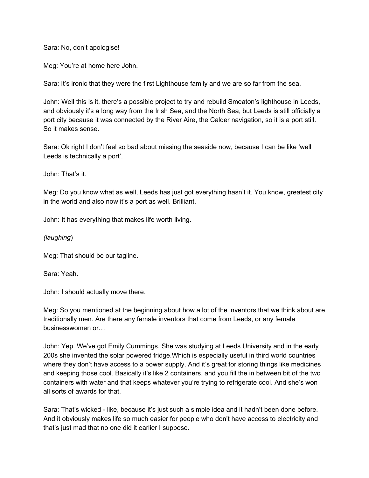Sara: No, don't apologise!

Meg: You're at home here John.

Sara: It's ironic that they were the first Lighthouse family and we are so far from the sea.

John: Well this is it, there's a possible project to try and rebuild Smeaton's lighthouse in Leeds, and obviously it's a long way from the Irish Sea, and the North Sea, but Leeds is still officially a port city because it was connected by the River Aire, the Calder navigation, so it is a port still. So it makes sense.

Sara: Ok right I don't feel so bad about missing the seaside now, because I can be like 'well Leeds is technically a port'.

John: That's it.

Meg: Do you know what as well, Leeds has just got everything hasn't it. You know, greatest city in the world and also now it's a port as well. Brilliant.

John: It has everything that makes life worth living.

*(laughing*)

Meg: That should be our tagline.

Sara: Yeah.

John: I should actually move there.

Meg: So you mentioned at the beginning about how a lot of the inventors that we think about are traditionally men. Are there any female inventors that come from Leeds, or any female businesswomen or…

John: Yep. We've got Emily Cummings. She was studying at Leeds University and in the early 200s she invented the solar powered fridge.Which is especially useful in third world countries where they don't have access to a power supply. And it's great for storing things like medicines and keeping those cool. Basically it's like 2 containers, and you fill the in between bit of the two containers with water and that keeps whatever you're trying to refrigerate cool. And she's won all sorts of awards for that.

Sara: That's wicked - like, because it's just such a simple idea and it hadn't been done before. And it obviously makes life so much easier for people who don't have access to electricity and that's just mad that no one did it earlier I suppose.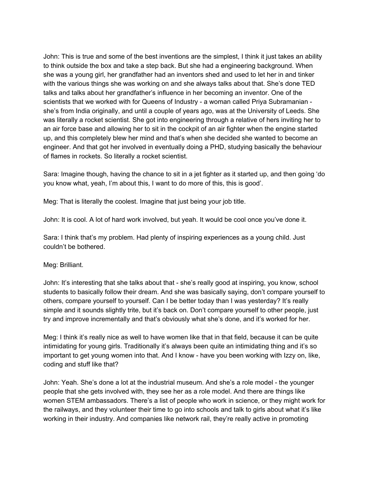John: This is true and some of the best inventions are the simplest, I think it just takes an ability to think outside the box and take a step back. But she had a engineering background. When she was a young girl, her grandfather had an inventors shed and used to let her in and tinker with the various things she was working on and she always talks about that. She's done TED talks and talks about her grandfather's influence in her becoming an inventor. One of the scientists that we worked with for Queens of Industry - a woman called Priya Subramanian she's from India originally, and until a couple of years ago, was at the University of Leeds. She was literally a rocket scientist. She got into engineering through a relative of hers inviting her to an air force base and allowing her to sit in the cockpit of an air fighter when the engine started up, and this completely blew her mind and that's when she decided she wanted to become an engineer. And that got her involved in eventually doing a PHD, studying basically the behaviour of flames in rockets. So literally a rocket scientist.

Sara: Imagine though, having the chance to sit in a jet fighter as it started up, and then going 'do you know what, yeah, I'm about this, I want to do more of this, this is good'.

Meg: That is literally the coolest. Imagine that just being your job title.

John: It is cool. A lot of hard work involved, but yeah. It would be cool once you've done it.

Sara: I think that's my problem. Had plenty of inspiring experiences as a young child. Just couldn't be bothered.

Meg: Brilliant.

John: It's interesting that she talks about that - she's really good at inspiring, you know, school students to basically follow their dream. And she was basically saying, don't compare yourself to others, compare yourself to yourself. Can I be better today than I was yesterday? It's really simple and it sounds slightly trite, but it's back on. Don't compare yourself to other people, just try and improve incrementally and that's obviously what she's done, and it's worked for her.

Meg: I think it's really nice as well to have women like that in that field, because it can be quite intimidating for young girls. Traditionally it's always been quite an intimidating thing and it's so important to get young women into that. And I know - have you been working with Izzy on, like, coding and stuff like that?

John: Yeah. She's done a lot at the industrial museum. And she's a role model - the younger people that she gets involved with, they see her as a role model. And there are things like women STEM ambassadors. There's a list of people who work in science, or they might work for the railways, and they volunteer their time to go into schools and talk to girls about what it's like working in their industry. And companies like network rail, they're really active in promoting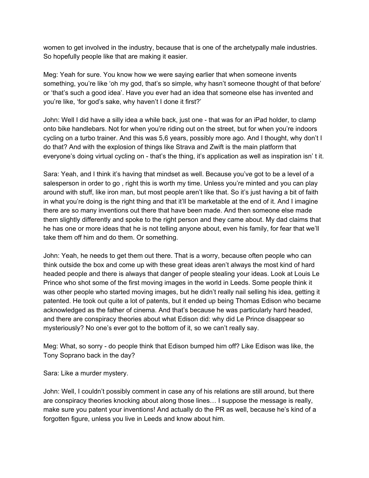women to get involved in the industry, because that is one of the archetypally male industries. So hopefully people like that are making it easier.

Meg: Yeah for sure. You know how we were saying earlier that when someone invents something, you're like 'oh my god, that's so simple, why hasn't someone thought of that before' or 'that's such a good idea'. Have you ever had an idea that someone else has invented and you're like, 'for god's sake, why haven't I done it first?'

John: Well I did have a silly idea a while back, just one - that was for an iPad holder, to clamp onto bike handlebars. Not for when you're riding out on the street, but for when you're indoors cycling on a turbo trainer. And this was 5,6 years, possibly more ago. And I thought, why don't I do that? And with the explosion of things like Strava and Zwift is the main platform that everyone's doing virtual cycling on - that's the thing, it's application as well as inspiration isn' t it.

Sara: Yeah, and I think it's having that mindset as well. Because you've got to be a level of a salesperson in order to go , right this is worth my time. Unless you're minted and you can play around with stuff, like iron man, but most people aren't like that. So it's just having a bit of faith in what you're doing is the right thing and that it'll be marketable at the end of it. And I imagine there are so many inventions out there that have been made. And then someone else made them slightly differently and spoke to the right person and they came about. My dad claims that he has one or more ideas that he is not telling anyone about, even his family, for fear that we'll take them off him and do them. Or something.

John: Yeah, he needs to get them out there. That is a worry, because often people who can think outside the box and come up with these great ideas aren't always the most kind of hard headed people and there is always that danger of people stealing your ideas. Look at Louis Le Prince who shot some of the first moving images in the world in Leeds. Some people think it was other people who started moving images, but he didn't really nail selling his idea, getting it patented. He took out quite a lot of patents, but it ended up being Thomas Edison who became acknowledged as the father of cinema. And that's because he was particularly hard headed, and there are conspiracy theories about what Edison did: why did Le Prince disappear so mysteriously? No one's ever got to the bottom of it, so we can't really say.

Meg: What, so sorry - do people think that Edison bumped him off? Like Edison was like, the Tony Soprano back in the day?

Sara: Like a murder mystery.

John: Well, I couldn't possibly comment in case any of his relations are still around, but there are conspiracy theories knocking about along those lines… I suppose the message is really, make sure you patent your inventions! And actually do the PR as well, because he's kind of a forgotten figure, unless you live in Leeds and know about him.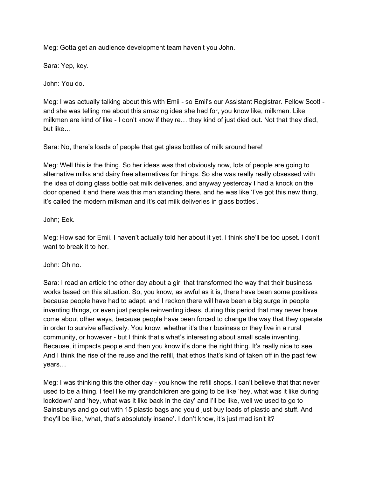Meg: Gotta get an audience development team haven't you John.

Sara: Yep, key.

John: You do.

Meg: I was actually talking about this with Emii - so Emii's our Assistant Registrar. Fellow Scot! and she was telling me about this amazing idea she had for, you know like, milkmen. Like milkmen are kind of like - I don't know if they're… they kind of just died out. Not that they died, but like…

Sara: No, there's loads of people that get glass bottles of milk around here!

Meg: Well this is the thing. So her ideas was that obviously now, lots of people are going to alternative milks and dairy free alternatives for things. So she was really really obsessed with the idea of doing glass bottle oat milk deliveries, and anyway yesterday I had a knock on the door opened it and there was this man standing there, and he was like 'I've got this new thing, it's called the modern milkman and it's oat milk deliveries in glass bottles'.

## John; Eek.

Meg: How sad for Emii. I haven't actually told her about it yet, I think she'll be too upset. I don't want to break it to her.

John: Oh no.

Sara: I read an article the other day about a girl that transformed the way that their business works based on this situation. So, you know, as awful as it is, there have been some positives because people have had to adapt, and I reckon there will have been a big surge in people inventing things, or even just people reinventing ideas, during this period that may never have come about other ways, because people have been forced to change the way that they operate in order to survive effectively. You know, whether it's their business or they live in a rural community, or however - but I think that's what's interesting about small scale inventing. Because, it impacts people and then you know it's done the right thing. It's really nice to see. And I think the rise of the reuse and the refill, that ethos that's kind of taken off in the past few years…

Meg: I was thinking this the other day - you know the refill shops. I can't believe that that never used to be a thing. I feel like my grandchildren are going to be like 'hey, what was it like during lockdown' and 'hey, what was it like back in the day' and I'll be like, well we used to go to Sainsburys and go out with 15 plastic bags and you'd just buy loads of plastic and stuff. And they'll be like, 'what, that's absolutely insane'. I don't know, it's just mad isn't it?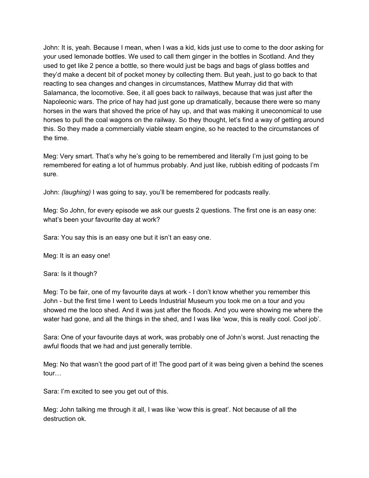John: It is, yeah. Because I mean, when I was a kid, kids just use to come to the door asking for your used lemonade bottles. We used to call them ginger in the bottles in Scotland. And they used to get like 2 pence a bottle, so there would just be bags and bags of glass bottles and they'd make a decent bit of pocket money by collecting them. But yeah, just to go back to that reacting to sea changes and changes in circumstances, Matthew Murray did that with Salamanca, the locomotive. See, it all goes back to railways, because that was just after the Napoleonic wars. The price of hay had just gone up dramatically, because there were so many horses in the wars that shoved the price of hay up, and that was making it uneconomical to use horses to pull the coal wagons on the railway. So they thought, let's find a way of getting around this. So they made a commercially viable steam engine, so he reacted to the circumstances of the time.

Meg: Very smart. That's why he's going to be remembered and literally I'm just going to be remembered for eating a lot of hummus probably. And just like, rubbish editing of podcasts I'm sure.

John: *(laughing)* I was going to say, you'll be remembered for podcasts really.

Meg: So John, for every episode we ask our guests 2 questions. The first one is an easy one: what's been your favourite day at work?

Sara: You say this is an easy one but it isn't an easy one.

Meg: It is an easy one!

Sara: Is it though?

Meg: To be fair, one of my favourite days at work - I don't know whether you remember this John - but the first time I went to Leeds Industrial Museum you took me on a tour and you showed me the loco shed. And it was just after the floods. And you were showing me where the water had gone, and all the things in the shed, and I was like 'wow, this is really cool. Cool job'.

Sara: One of your favourite days at work, was probably one of John's worst. Just renacting the awful floods that we had and just generally terrible.

Meg: No that wasn't the good part of it! The good part of it was being given a behind the scenes tour…

Sara: I'm excited to see you get out of this.

Meg: John talking me through it all, I was like 'wow this is great'. Not because of all the destruction ok.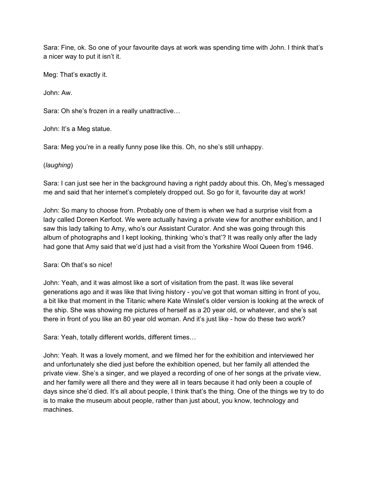Sara: Fine, ok. So one of your favourite days at work was spending time with John. I think that's a nicer way to put it isn't it.

Meg: That's exactly it.

John: Aw.

Sara: Oh she's frozen in a really unattractive…

John: It's a Meg statue.

Sara: Meg you're in a really funny pose like this. Oh, no she's still unhappy.

## (*laughing*)

Sara: I can just see her in the background having a right paddy about this. Oh, Meg's messaged me and said that her internet's completely dropped out. So go for it, favourite day at work!

John: So many to choose from. Probably one of them is when we had a surprise visit from a lady called Doreen Kerfoot. We were actually having a private view for another exhibition, and I saw this lady talking to Amy, who's our Assistant Curator. And she was going through this album of photographs and I kept looking, thinking 'who's that'? It was really only after the lady had gone that Amy said that we'd just had a visit from the Yorkshire Wool Queen from 1946.

## Sara: Oh that's so nice!

John: Yeah, and it was almost like a sort of visitation from the past. It was like several generations ago and it was like that living history - you've got that woman sitting in front of you, a bit like that moment in the Titanic where Kate Winslet's older version is looking at the wreck of the ship. She was showing me pictures of herself as a 20 year old, or whatever, and she's sat there in front of you like an 80 year old woman. And it's just like - how do these two work?

Sara: Yeah, totally different worlds, different times…

John: Yeah. It was a lovely moment, and we filmed her for the exhibition and interviewed her and unfortunately she died just before the exhibition opened, but her family all attended the private view. She's a singer, and we played a recording of one of her songs at the private view, and her family were all there and they were all in tears because it had only been a couple of days since she'd died. It's all about people, I think that's the thing. One of the things we try to do is to make the museum about people, rather than just about, you know, technology and machines.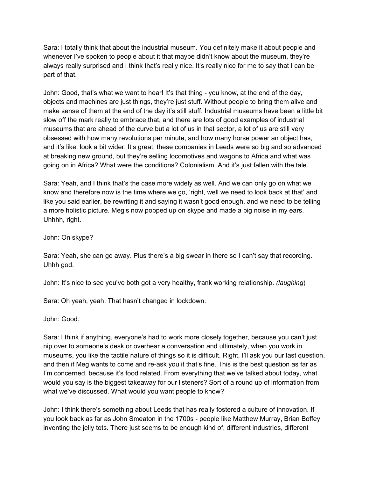Sara: I totally think that about the industrial museum. You definitely make it about people and whenever I've spoken to people about it that maybe didn't know about the museum, they're always really surprised and I think that's really nice. It's really nice for me to say that I can be part of that.

John: Good, that's what we want to hear! It's that thing - you know, at the end of the day, objects and machines are just things, they're just stuff. Without people to bring them alive and make sense of them at the end of the day it's still stuff. Industrial museums have been a little bit slow off the mark really to embrace that, and there are lots of good examples of industrial museums that are ahead of the curve but a lot of us in that sector, a lot of us are still very obsessed with how many revolutions per minute, and how many horse power an object has, and it's like, look a bit wider. It's great, these companies in Leeds were so big and so advanced at breaking new ground, but they're selling locomotives and wagons to Africa and what was going on in Africa? What were the conditions? Colonialism. And it's just fallen with the tale.

Sara: Yeah, and I think that's the case more widely as well. And we can only go on what we know and therefore now is the time where we go, 'right, well we need to look back at that' and like you said earlier, be rewriting it and saying it wasn't good enough, and we need to be telling a more holistic picture. Meg's now popped up on skype and made a big noise in my ears. Uhhhh, right.

John: On skype?

Sara: Yeah, she can go away. Plus there's a big swear in there so I can't say that recording. Uhhh god.

John: It's nice to see you've both got a very healthy, frank working relationship. *(laughing*)

Sara: Oh yeah, yeah. That hasn't changed in lockdown.

John: Good.

Sara: I think if anything, everyone's had to work more closely together, because you can't just nip over to someone's desk or overhear a conversation and ultimately, when you work in museums, you like the tactile nature of things so it is difficult. Right, I'll ask you our last question, and then if Meg wants to come and re-ask you it that's fine. This is the best question as far as I'm concerned, because it's food related. From everything that we've talked about today, what would you say is the biggest takeaway for our listeners? Sort of a round up of information from what we've discussed. What would you want people to know?

John: I think there's something about Leeds that has really fostered a culture of innovation. If you look back as far as John Smeaton in the 1700s - people like Matthew Murray, Brian Boffey inventing the jelly tots. There just seems to be enough kind of, different industries, different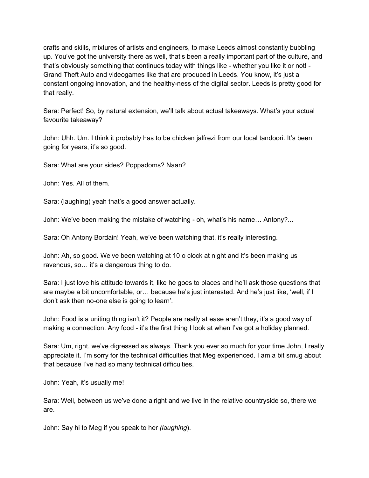crafts and skills, mixtures of artists and engineers, to make Leeds almost constantly bubbling up. You've got the university there as well, that's been a really important part of the culture, and that's obviously something that continues today with things like - whether you like it or not! - Grand Theft Auto and videogames like that are produced in Leeds. You know, it's just a constant ongoing innovation, and the healthy-ness of the digital sector. Leeds is pretty good for that really.

Sara: Perfect! So, by natural extension, we'll talk about actual takeaways. What's your actual favourite takeaway?

John: Uhh. Um. I think it probably has to be chicken jalfrezi from our local tandoori. It's been going for years, it's so good.

Sara: What are your sides? Poppadoms? Naan?

John: Yes. All of them.

Sara: (laughing) yeah that's a good answer actually.

John: We've been making the mistake of watching - oh, what's his name… Antony?...

Sara: Oh Antony Bordain! Yeah, we've been watching that, it's really interesting.

John: Ah, so good. We've been watching at 10 o clock at night and it's been making us ravenous, so… it's a dangerous thing to do.

Sara: I just love his attitude towards it, like he goes to places and he'll ask those questions that are maybe a bit uncomfortable, or… because he's just interested. And he's just like, 'well, if I don't ask then no-one else is going to learn'.

John: Food is a uniting thing isn't it? People are really at ease aren't they, it's a good way of making a connection. Any food - it's the first thing I look at when I've got a holiday planned.

Sara: Um, right, we've digressed as always. Thank you ever so much for your time John, I really appreciate it. I'm sorry for the technical difficulties that Meg experienced. I am a bit smug about that because I've had so many technical difficulties.

John: Yeah, it's usually me!

Sara: Well, between us we've done alright and we live in the relative countryside so, there we are.

John: Say hi to Meg if you speak to her *(laughing*).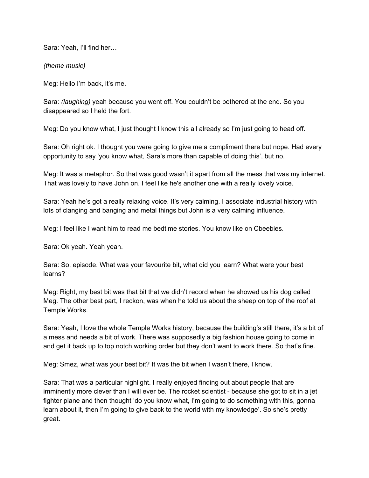Sara: Yeah, I'll find her…

*(theme music)*

Meg: Hello I'm back, it's me.

Sara: *(laughing)* yeah because you went off. You couldn't be bothered at the end. So you disappeared so I held the fort.

Meg: Do you know what, I just thought I know this all already so I'm just going to head off.

Sara: Oh right ok. I thought you were going to give me a compliment there but nope. Had every opportunity to say 'you know what, Sara's more than capable of doing this', but no.

Meg: It was a metaphor. So that was good wasn't it apart from all the mess that was my internet. That was lovely to have John on. I feel like he's another one with a really lovely voice.

Sara: Yeah he's got a really relaxing voice. It's very calming. I associate industrial history with lots of clanging and banging and metal things but John is a very calming influence.

Meg: I feel like I want him to read me bedtime stories. You know like on Cbeebies.

Sara: Ok yeah. Yeah yeah.

Sara: So, episode. What was your favourite bit, what did you learn? What were your best learns?

Meg: Right, my best bit was that bit that we didn't record when he showed us his dog called Meg. The other best part, I reckon, was when he told us about the sheep on top of the roof at Temple Works.

Sara: Yeah, I love the whole Temple Works history, because the building's still there, it's a bit of a mess and needs a bit of work. There was supposedly a big fashion house going to come in and get it back up to top notch working order but they don't want to work there. So that's fine.

Meg: Smez, what was your best bit? It was the bit when I wasn't there, I know.

Sara: That was a particular highlight. I really enjoyed finding out about people that are imminently more clever than I will ever be. The rocket scientist - because she got to sit in a jet fighter plane and then thought 'do you know what, I'm going to do something with this, gonna learn about it, then I'm going to give back to the world with my knowledge'. So she's pretty great.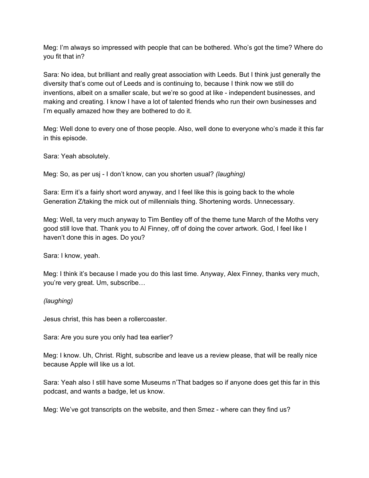Meg: I'm always so impressed with people that can be bothered. Who's got the time? Where do you fit that in?

Sara: No idea, but brilliant and really great association with Leeds. But I think just generally the diversity that's come out of Leeds and is continuing to, because I think now we still do inventions, albeit on a smaller scale, but we're so good at like - independent businesses, and making and creating. I know I have a lot of talented friends who run their own businesses and I'm equally amazed how they are bothered to do it.

Meg: Well done to every one of those people. Also, well done to everyone who's made it this far in this episode.

Sara: Yeah absolutely.

Meg: So, as per usj - I don't know, can you shorten usual? *(laughing)*

Sara: Erm it's a fairly short word anyway, and I feel like this is going back to the whole Generation Z/taking the mick out of millennials thing. Shortening words. Unnecessary.

Meg: Well, ta very much anyway to Tim Bentley off of the theme tune March of the Moths very good still love that. Thank you to Al Finney, off of doing the cover artwork. God, I feel like I haven't done this in ages. Do you?

Sara: I know, yeah.

Meg: I think it's because I made you do this last time. Anyway, Alex Finney, thanks very much, you're very great. Um, subscribe…

*(laughing)*

Jesus christ, this has been a rollercoaster.

Sara: Are you sure you only had tea earlier?

Meg: I know. Uh, Christ. Right, subscribe and leave us a review please, that will be really nice because Apple will like us a lot.

Sara: Yeah also I still have some Museums n'That badges so if anyone does get this far in this podcast, and wants a badge, let us know.

Meg: We've got transcripts on the website, and then Smez - where can they find us?